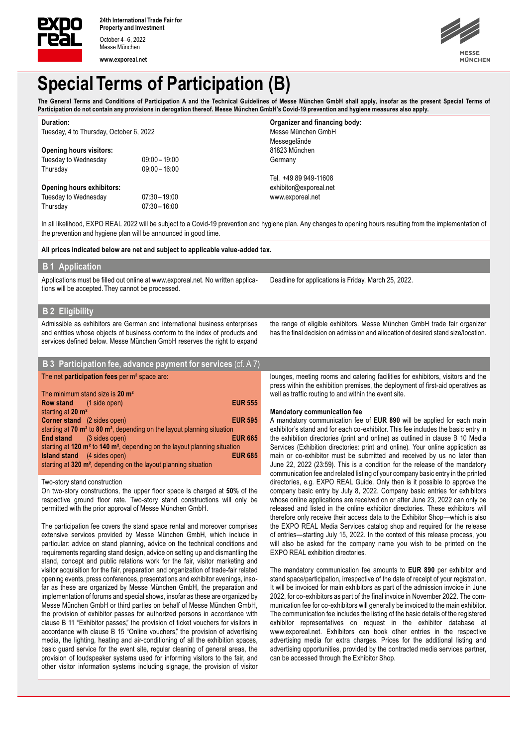

Messe München **www.exporeal.net**



# **Special Terms of Participation (B)**

The General Terms and Conditions of Participation A and the Technical Guidelines of Messe München GmbH shall apply, insofar as the present Special Terms of **Participation do not contain any provisions in derogation thereof. Messe München GmbH's Covid-19 prevention and hygiene measures also apply.**

| Duration:                               |                 | Organizer and financing body: |
|-----------------------------------------|-----------------|-------------------------------|
| Tuesday, 4 to Thursday, October 6, 2022 |                 | Messe München GmbH            |
|                                         |                 | Messegelände                  |
| <b>Opening hours visitors:</b>          |                 | 81823 München                 |
| Tuesday to Wednesday                    | $09:00 - 19:00$ | Germany                       |
| Thursday                                | $09:00 - 16:00$ |                               |
|                                         |                 | Tel. +49 89 949-11608         |
| <b>Opening hours exhibitors:</b>        |                 | exhibitor@exporeal.net        |
| Tuesday to Wednesday                    | $07:30 - 19:00$ | www.exporeal.net              |
| Thursday                                | $07:30 - 16:00$ |                               |

In all likelihood, EXPO REAL 2022 will be subject to a Covid-19 prevention and hygiene plan. Any changes to opening hours resulting from the implementation of the prevention and hygiene plan will be announced in good time.

**All prices indicated below are net and subject to applicable value-added tax.**

# **B 1 Application**

Applications must be filled out online at www.exporeal.net. No written applications will be accepted. They cannot be processed.

Deadline for applications is Friday, March 25, 2022.

# **B 2 Eligibility**

Admissible as exhibitors are German and international business enterprises and entities whose objects of business conform to the index of products and services defined below. Messe München GmbH reserves the right to expand

| <b>B</b> 3 Participation fee, advance payment for services (cf. A 7)                          |                |
|-----------------------------------------------------------------------------------------------|----------------|
| The net <b>participation fees</b> per m <sup>2</sup> space are:                               |                |
| The minimum stand size is 20 m <sup>2</sup>                                                   |                |
| <b>Row stand</b> (1 side open)                                                                | <b>EUR 555</b> |
| starting at 20 m <sup>2</sup>                                                                 |                |
| <b>Corner stand</b> (2 sides open)                                                            | <b>EUR 595</b> |
| starting at $70 \text{ m}^2$ to $80 \text{ m}^2$ , depending on the layout planning situation |                |
| (3 sides open)<br>End stand                                                                   | <b>EUR 665</b> |
| starting at 120 $m2$ to 140 $m2$ , depending on the layout planning situation                 |                |
| <b>Island stand</b> (4 sides open)                                                            | <b>EUR 685</b> |
| starting at 320 m <sup>2</sup> , depending on the layout planning situation                   |                |

Two-story stand construction

On two-story constructions, the upper floor space is charged at **50%** of the respective ground floor rate. Two-story stand constructions will only be permitted with the prior approval of Messe München GmbH.

The participation fee covers the stand space rental and moreover comprises extensive services provided by Messe München GmbH, which include in particular: advice on stand planning, advice on the technical conditions and requirements regarding stand design, advice on setting up and dismantling the stand, concept and public relations work for the fair, visitor marketing and visitor acquisition for the fair, preparation and organization of trade-fair related opening events, press conferences, presentations and exhibitor evenings, insofar as these are organized by Messe München GmbH, the preparation and implementation of forums and special shows, insofar as these are organized by Messe München GmbH or third parties on behalf of Messe München GmbH, the provision of exhibitor passes for authorized persons in accordance with clause B 11 "Exhibitor passes," the provision of ticket vouchers for visitors in accordance with clause B 15 "Online vouchers," the provision of advertising media, the lighting, heating and air-conditioning of all the exhibition spaces, basic guard service for the event site, regular cleaning of general areas, the provision of loudspeaker systems used for informing visitors to the fair, and other visitor information systems including signage, the provision of visitor

the range of eligible exhibitors. Messe München GmbH trade fair organizer has the final decision on admission and allocation of desired stand size/location.

lounges, meeting rooms and catering facilities for exhibitors, visitors and the press within the exhibition premises, the deployment of first-aid operatives as well as traffic routing to and within the event site.

#### **Mandatory communication fee**

A mandatory communication fee of **EUR 890** will be applied for each main exhibitor's stand and for each co-exhibitor. This fee includes the basic entry in the exhibition directories (print and online) as outlined in clause B 10 Media Services (Exhibition directories: print and online). Your online application as main or co-exhibitor must be submitted and received by us no later than June 22, 2022 (23:59). This is a condition for the release of the mandatory communication fee and related listing of your company basic entry in the printed directories, e.g. EXPO REAL Guide. Only then is it possible to approve the company basic entry by July 8, 2022. Company basic entries for exhibitors whose online applications are received on or after June 23, 2022 can only be released and listed in the online exhibitor directories. These exhibitors will therefore only receive their access data to the Exhibitor Shop—which is also the EXPO REAL Media Services catalog shop and required for the release of entries—starting July 15, 2022. In the context of this release process, you will also be asked for the company name you wish to be printed on the EXPO REAL exhibition directories.

The mandatory communication fee amounts to **EUR 890** per exhibitor and stand space/participation, irrespective of the date of receipt of your registration. It will be invoiced for main exhibitors as part of the admission invoice in June 2022, for co-exhibitors as part of the final invoice in November 2022. The communication fee for co-exhibitors will generally be invoiced to the main exhibitor. The communication fee includes the listing of the basic details of the registered exhibitor representatives on request in the exhibitor database at www.exporeal.net. Exhibitors can book other entries in the respective advertising media for extra charges. Prices for the additional listing and advertising opportunities, provided by the contracted media services partner, can be accessed through the Exhibitor Shop.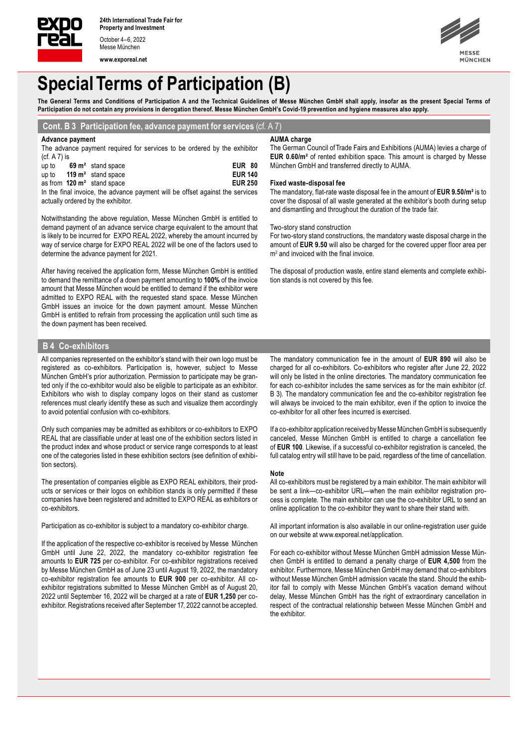

Messe München

**www.exporeal.net**



# **Special Terms of Participation (B)**

The General Terms and Conditions of Participation A and the Technical Guidelines of Messe München GmbH shall apply, insofar as the present Special Terms of **Participation do not contain any provisions in derogation thereof. Messe München GmbH's Covid-19 prevention and hygiene measures also apply.**

## **Cont. B 3 Participation fee, advance payment for services** (cf. A 7)

### **Advance payment**

The advance payment required for services to be ordered by the exhibitor (cf. A 7) is

| up to                                                                         |  | $69 \text{ m}^2$ stand space          | <b>EUR 80</b>  |
|-------------------------------------------------------------------------------|--|---------------------------------------|----------------|
| up to                                                                         |  | 119 $m2$ stand space                  | <b>EUR 140</b> |
|                                                                               |  | as from $120 \text{ m}^2$ stand space | <b>EUR 250</b> |
| In the final invoice, the advance payment will be offset against the services |  |                                       |                |
| actually ordered by the exhibitor.                                            |  |                                       |                |

Notwithstanding the above regulation, Messe München GmbH is entitled to demand payment of an advance service charge equivalent to the amount that is likely to be incurred for EXPO REAL 2022, whereby the amount incurred by way of service charge for EXPO REAL 2022 will be one of the factors used to determine the advance payment for 2021.

After having received the application form, Messe München GmbH is entitled to demand the remittance of a down payment amounting to **100%** of the invoice amount that Messe München would be entitled to demand if the exhibitor were admitted to EXPO REAL with the requested stand space. Messe München GmbH issues an invoice for the down payment amount. Messe München GmbH is entitled to refrain from processing the application until such time as the down payment has been received.

#### **AUMA charge**

The German Council of Trade Fairs and Exhibitions (AUMA) levies a charge of **EUR 0.60/m²** of rented exhibition space. This amount is charged by Messe München GmbH and transferred directly to AUMA.

#### **Fixed waste-disposal fee**

The mandatory, flat-rate waste disposal fee in the amount of **EUR 9.50/m²** is to cover the disposal of all waste generated at the exhibitor's booth during setup and dismantling and throughout the duration of the trade fair.

### Two-story stand construction

For two-story stand constructions, the mandatory waste disposal charge in the amount of **EUR 9.50** will also be charged for the covered upper floor area per m2 and invoiced with the final invoice.

The disposal of production waste, entire stand elements and complete exhibition stands is not covered by this fee.

### **B 4 Co-exhibitors**

All companies represented on the exhibitor's stand with their own logo must be registered as co-exhibitors. Participation is, however, subject to Messe München GmbH's prior authorization. Permission to participate may be granted only if the co-exhibitor would also be eligible to participate as an exhibitor. Exhibitors who wish to display company logos on their stand as customer references must clearly identify these as such and visualize them accordingly to avoid potential confusion with co-exhibitors.

Only such companies may be admitted as exhibitors or co-exhibitors to EXPO REAL that are classifiable under at least one of the exhibition sectors listed in the product index and whose product or service range corresponds to at least one of the categories listed in these exhibition sectors (see definition of exhibition sectors).

The presentation of companies eligible as EXPO REAL exhibitors, their products or services or their logos on exhibition stands is only permitted if these companies have been registered and admitted to EXPO REAL as exhibitors or co-exhibitors.

Participation as co-exhibitor is subject to a mandatory co-exhibitor charge.

If the application of the respective co-exhibitor is received by Messe München GmbH until June 22, 2022, the mandatory co-exhibitor registration fee amounts to **EUR 725** per co-exhibitor. For co-exhibitor registrations received by Messe München GmbH as of June 23 until August 19, 2022, the mandatory co-exhibitor registration fee amounts to **EUR 900** per co-exhibitor. All coexhibitor registrations submitted to Messe München GmbH as of August 20, 2022 until September 16, 2022 will be charged at a rate of **EUR 1,250** per coexhibitor. Registrations received after September 17, 2022 cannot be accepted.

The mandatory communication fee in the amount of **EUR 890** will also be charged for all co-exhibitors. Co-exhibitors who register after June 22, 2022 will only be listed in the online directories. The mandatory communication fee for each co-exhibitor includes the same services as for the main exhibitor (cf. B 3). The mandatory communication fee and the co-exhibitor registration fee will always be invoiced to the main exhibitor, even if the option to invoice the co-exhibitor for all other fees incurred is exercised.

If a co-exhibitor application received by Messe München GmbH is subsequently canceled, Messe München GmbH is entitled to charge a cancellation fee of **EUR 100**. Likewise, if a successful co-exhibitor registration is canceled, the full catalog entry will still have to be paid, regardless of the time of cancellation.

#### **Note**

All co-exhibitors must be registered by a main exhibitor. The main exhibitor will be sent a link—co-exhibitor URL—when the main exhibitor registration process is complete. The main exhibitor can use the co-exhibitor URL to send an online application to the co-exhibitor they want to share their stand with.

All important information is also available in our online-registration user guide on our website at www.exporeal.net/application.

For each co-exhibitor without Messe München GmbH admission Messe München GmbH is entitled to demand a penalty charge of **EUR 4,500** from the exhibitor. Furthermore, Messe München GmbH may demand that co-exhibitors without Messe München GmbH admission vacate the stand. Should the exhibitor fail to comply with Messe München GmbH's vacation demand without delay, Messe München GmbH has the right of extraordinary cancellation in respect of the contractual relationship between Messe München GmbH and the exhibitor.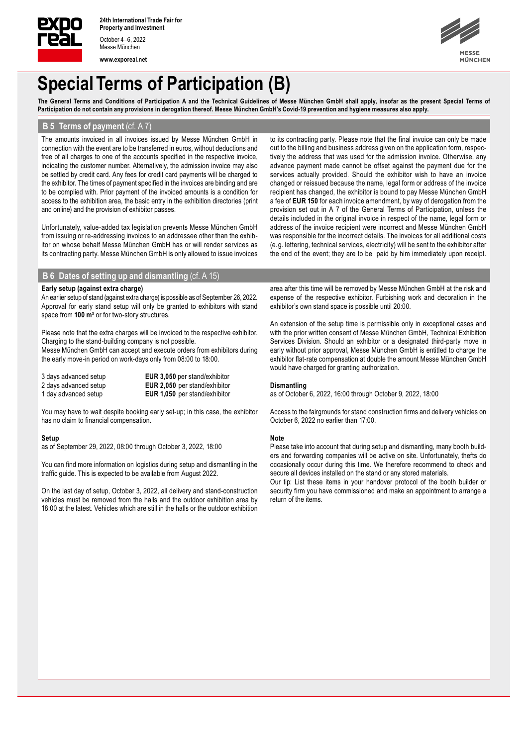

Messe München **www.exporeal.net** **IÜNCHEN** 

# **Special Terms of Participation (B)**

The General Terms and Conditions of Participation A and the Technical Guidelines of Messe München GmbH shall apply, insofar as the present Special Terms of **Participation do not contain any provisions in derogation thereof. Messe München GmbH's Covid-19 prevention and hygiene measures also apply.**

# **B 5 Terms of payment** (cf. A 7)

The amounts invoiced in all invoices issued by Messe München GmbH in connection with the event are to be transferred in euros, without deductions and free of all charges to one of the accounts specified in the respective invoice, indicating the customer number. Alternatively, the admission invoice may also be settled by credit card. Any fees for credit card payments will be charged to the exhibitor. The times of payment specified in the invoices are binding and are to be complied with. Prior payment of the invoiced amounts is a condition for access to the exhibition area, the basic entry in the exhibition directories (print and online) and the provision of exhibitor passes.

Unfortunately, value-added tax legislation prevents Messe München GmbH from issuing or re-addressing invoices to an addressee other than the exhibitor on whose behalf Messe München GmbH has or will render services as its contracting party. Messe München GmbH is only allowed to issue invoices to its contracting party. Please note that the final invoice can only be made out to the billing and business address given on the application form, respectively the address that was used for the admission invoice. Otherwise, any advance payment made cannot be offset against the payment due for the services actually provided. Should the exhibitor wish to have an invoice changed or reissued because the name, legal form or address of the invoice recipient has changed, the exhibitor is bound to pay Messe München GmbH a fee of **EUR 150** for each invoice amendment, by way of derogation from the provision set out in A 7 of the General Terms of Participation, unless the details included in the original invoice in respect of the name, legal form or address of the invoice recipient were incorrect and Messe München GmbH was responsible for the incorrect details. The invoices for all additional costs (e.g. lettering, technical services, electricity) will be sent to the exhibitor after the end of the event; they are to be paid by him immediately upon receipt.

# **B 6 Dates of setting up and dismantling** (cf. A 15)

#### **Early setup (against extra charge)**

An earlier setup of stand (against extra charge) is possible as of September 26, 2022. Approval for early stand setup will only be granted to exhibitors with stand space from **100 m²** or for two-story structures.

Please note that the extra charges will be invoiced to the respective exhibitor. Charging to the stand-building company is not possible.

Messe München GmbH can accept and execute orders from exhibitors during the early move-in period on work-days only from 08:00 to 18:00.

| 3 days advanced setup | <b>EUR 3,050</b> per stand/exhibitor |
|-----------------------|--------------------------------------|
| 2 days advanced setup | <b>EUR 2,050</b> per stand/exhibitor |
| 1 day advanced setup  | <b>EUR 1,050</b> per stand/exhibitor |

You may have to wait despite booking early set-up; in this case, the exhibitor has no claim to financial compensation.

#### **Setup**

as of September 29, 2022, 08:00 through October 3, 2022, 18:00

You can find more information on logistics during setup and dismantling in the traffic guide. This is expected to be available from August 2022.

On the last day of setup, October 3, 2022, all delivery and stand-construction vehicles must be removed from the halls and the outdoor exhibition area by 18:00 at the latest. Vehicles which are still in the halls or the outdoor exhibition area after this time will be removed by Messe München GmbH at the risk and expense of the respective exhibitor. Furbishing work and decoration in the exhibitor's own stand space is possible until 20:00.

An extension of the setup time is permissible only in exceptional cases and with the prior written consent of Messe München GmbH, Technical Exhibition Services Division. Should an exhibitor or a designated third-party move in early without prior approval, Messe München GmbH is entitled to charge the exhibitor flat-rate compensation at double the amount Messe München GmbH would have charged for granting authorization.

#### **Dismantling**

as of October 6, 2022, 16:00 through October 9, 2022, 18:00

Access to the fairgrounds for stand construction firms and delivery vehicles on October 6, 2022 no earlier than 17:00.

#### **Note**

Please take into account that during setup and dismantling, many booth builders and forwarding companies will be active on site. Unfortunately, thefts do occasionally occur during this time. We therefore recommend to check and secure all devices installed on the stand or any stored materials.

Our tip: List these items in your handover protocol of the booth builder or security firm you have commissioned and make an appointment to arrange a return of the items.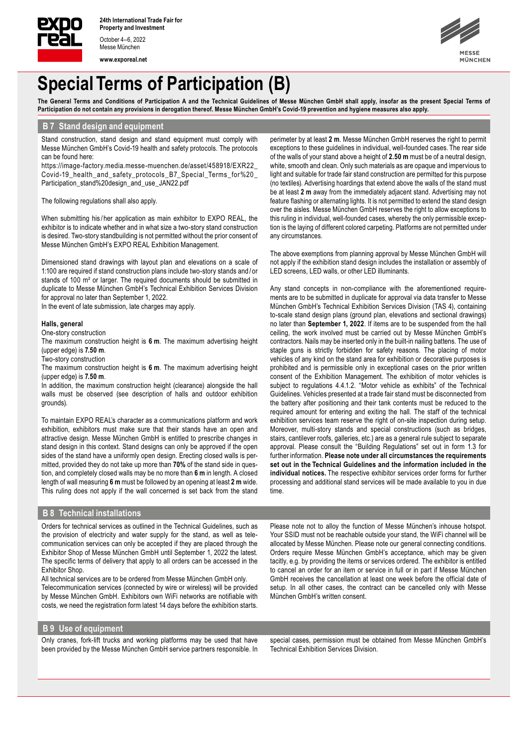

Messe München

**www.exporeal.net**



# **Special Terms of Participation (B)**

The General Terms and Conditions of Participation A and the Technical Guidelines of Messe München GmbH shall apply, insofar as the present Special Terms of **Participation do not contain any provisions in derogation thereof. Messe München GmbH's Covid-19 prevention and hygiene measures also apply.**

## **B 7 Stand design and equipment**

Stand construction, stand design and stand equipment must comply with Messe München GmbH's Covid-19 health and safety protocols. The protocols can be found here:

https://image-factory.media.messe-muenchen.de/asset/458918/EXR22\_ Covid-19\_health\_and\_safety\_protocols\_B7\_Special\_Terms\_for%20\_ Participation\_stand%20design\_and\_use\_JAN22.pdf

The following regulations shall also apply.

When submitting his/her application as main exhibitor to EXPO REAL, the exhibitor is to indicate whether and in what size a two-story stand construction is desired. Two-story standbuilding is not permitted without the prior consent of Messe München GmbH's EXPO REAL Exhibition Management.

Dimensioned stand drawings with layout plan and elevations on a scale of 1:100 are required if stand construction plans include two-story stands and / or stands of 100 m<sup>2</sup> or larger. The required documents should be submitted in duplicate to Messe München GmbH's Technical Exhibition Services Division for approval no later than September 1, 2022.

In the event of late submission, late charges may apply.

### **Halls, general**

One-story construction

The maximum construction height is **6 m**. The maximum advertising height (upper edge) is **7.50 m**.

Two-story construction

The maximum construction height is **6 m**. The maximum advertising height (upper edge) is **7.50 m**.

In addition, the maximum construction height (clearance) alongside the hall walls must be observed (see description of halls and outdoor exhibition grounds).

To maintain EXPO REAL's character as a communications platform and work exhibition, exhibitors must make sure that their stands have an open and attractive design. Messe München GmbH is entitled to prescribe changes in stand design in this context. Stand designs can only be approved if the open sides of the stand have a uniformly open design. Erecting closed walls is permitted, provided they do not take up more than **70%** of the stand side in question, and completely closed walls may be no more than **6 m** in length. A closed length of wall measuring **6 m** must be followed by an opening at least **2 m** wide. This ruling does not apply if the wall concerned is set back from the stand exceptions to these guidelines in individual, well-founded cases. The rear side of the walls of your stand above a height of **2.50 m** must be of a neutral design, white, smooth and clean. Only such materials as are opaque and impervious to light and suitable for trade fair stand construction are permitted for this purpose (no textiles). Advertising hoardings that extend above the walls of the stand must be at least **2 m** away from the immediately adjacent stand. Advertising may not feature flashing or alternating lights. It is not permitted to extend the stand design over the aisles. Messe München GmbH reserves the right to allow exceptions to this ruling in individual, well-founded cases, whereby the only permissible exception is the laying of different colored carpeting. Platforms are not permitted under any circumstances. The above exemptions from planning approval by Messe München GmbH will

perimeter by at least **2 m**. Messe München GmbH reserves the right to permit

not apply if the exhibition stand design includes the installation or assembly of LED screens, LED walls, or other LED illuminants.

Any stand concepts in non-compliance with the aforementioned requirements are to be submitted in duplicate for approval via data transfer to Messe München GmbH's Technical Exhibition Services Division (TAS 4), containing to-scale stand design plans (ground plan, elevations and sectional drawings) no later than **September 1, 2022**. If items are to be suspended from the hall ceiling, the work involved must be carried out by Messe München GmbH's contractors. Nails may be inserted only in the built-in nailing battens. The use of staple guns is strictly forbidden for safety reasons. The placing of motor vehicles of any kind on the stand area for exhibition or decorative purposes is prohibited and is permissible only in exceptional cases on the prior written consent of the Exhibition Management. The exhibition of motor vehicles is subject to regulations 4.4.1.2. "Motor vehicle as exhibits" of the Technical Guidelines. Vehicles presented at a trade fair stand must be disconnected from the battery after positioning and their tank contents must be reduced to the required amount for entering and exiting the hall. The staff of the technical exhibition services team reserve the right of on-site inspection during setup. Moreover, multi-story stands and special constructions (such as bridges, stairs, cantilever roofs, galleries, etc.) are as a general rule subject to separate approval. Please consult the "Building Regulations" set out in form 1.3 for further information. **Please note under all circumstances the requirements set out in the Technical Guidelines and the information included in the individual notices.** The respective exhibitor services order forms for further processing and additional stand services will be made available to you in due time.

## **B 8 Technical installations**

Orders for technical services as outlined in the Technical Guidelines, such as the provision of electricity and water supply for the stand, as well as telecommunication services can only be accepted if they are placed through the Exhibitor Shop of Messe München GmbH until September 1, 2022 the latest. The specific terms of delivery that apply to all orders can be accessed in the Exhibitor Shop.

All technical services are to be ordered from Messe München GmbH only. Telecommunication services (connected by wire or wireless) will be provided by Messe München GmbH. Exhibitors own WiFi networks are notifiable with costs, we need the registration form latest 14 days before the exhibition starts. Please note not to alloy the function of Messe München's inhouse hotspot. Your SSID must not be reachable outside your stand, the WiFi channel will be allocated by Messe München. Please note our general connecting conditions. Orders require Messe München GmbH's acceptance, which may be given tacitly, e.g. by providing the items or services ordered. The exhibitor is entitled to cancel an order for an item or service in full or in part if Messe München GmbH receives the cancellation at least one week before the official date of setup. In all other cases, the contract can be cancelled only with Messe München GmbH's written consent.

#### **B 9 Use of equipment**

Only cranes, fork-lift trucks and working platforms may be used that have been provided by the Messe München GmbH service partners responsible. In special cases, permission must be obtained from Messe München GmbH's Technical Exhibition Services Division.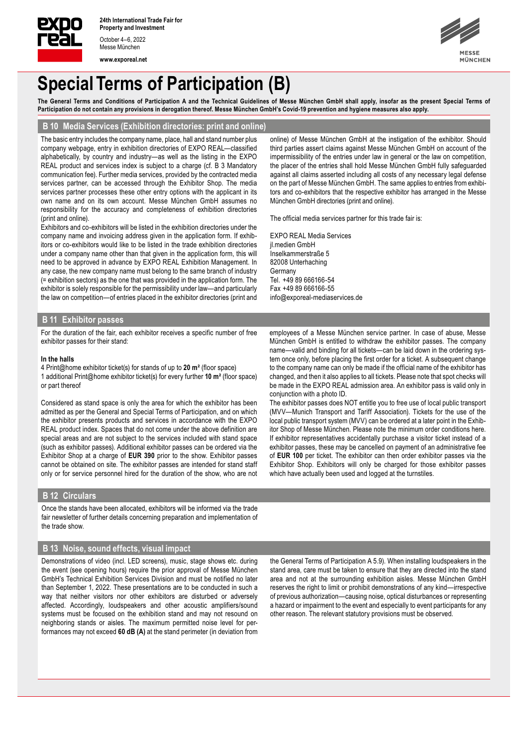

October 4–6, 2022 Messe München

**www.exporeal.net**



# **Special Terms of Participation (B)**

The General Terms and Conditions of Participation A and the Technical Guidelines of Messe München GmbH shall apply, insofar as the present Special Terms of **Participation do not contain any provisions in derogation thereof. Messe München GmbH's Covid-19 prevention and hygiene measures also apply.**

## **B 10 Media Services (Exhibition directories: print and online)**

The basic entry includes the company name, place, hall and stand number plus company webpage, entry in exhibition directories of EXPO REAL—classified alphabetically, by country and industry—as well as the listing in the EXPO REAL product and services index is subject to a charge (cf. B 3 Mandatory communication fee). Further media services, provided by the contracted media services partner, can be accessed through the Exhibitor Shop. The media services partner processes these other entry options with the applicant in its own name and on its own account. Messe München GmbH assumes no responsibility for the accuracy and completeness of exhibition directories (print and online).

Exhibitors and co-exhibitors will be listed in the exhibition directories under the company name and invoicing address given in the application form. If exhibitors or co-exhibitors would like to be listed in the trade exhibition directories under a company name other than that given in the application form, this will need to be approved in advance by EXPO REAL Exhibition Management. In any case, the new company name must belong to the same branch of industry (= exhibition sectors) as the one that was provided in the application form. The exhibitor is solely responsible for the permissibility under law—and particularly the law on competition—of entries placed in the exhibitor directories (print and online) of Messe München GmbH at the instigation of the exhibitor. Should third parties assert claims against Messe München GmbH on account of the impermissibility of the entries under law in general or the law on competition, the placer of the entries shall hold Messe München GmbH fully safeguarded against all claims asserted including all costs of any necessary legal defense on the part of Messe München GmbH. The same applies to entries from exhibitors and co-exhibitors that the respective exhibitor has arranged in the Messe München GmbH directories (print and online).

The official media services partner for this trade fair is:

EXPO REAL Media Services jl.medien GmbH Inselkammerstraße 5 82008 Unterhaching **Germany** Tel. +49 89 666166-54 Fax +49 89 666166-55 info@exporeal-mediaservices.de

## **B 11 Exhibitor passes**

For the duration of the fair, each exhibitor receives a specific number of free exhibitor passes for their stand:

#### **In the halls**

4 Print@home exhibitor ticket(s) for stands of up to **20 m²** (floor space) 1 additional Print@home exhibitor ticket(s) for every further **10 m²** (floor space) or part thereof

Considered as stand space is only the area for which the exhibitor has been admitted as per the General and Special Terms of Participation, and on which the exhibitor presents products and services in accordance with the EXPO REAL product index. Spaces that do not come under the above definition are special areas and are not subject to the services included with stand space (such as exhibitor passes). Additional exhibitor passes can be ordered via the Exhibitor Shop at a charge of **EUR 390** prior to the show. Exhibitor passes cannot be obtained on site. The exhibitor passes are intended for stand staff only or for service personnel hired for the duration of the show, who are not employees of a Messe München service partner. In case of abuse, Messe München GmbH is entitled to withdraw the exhibitor passes. The company name—valid and binding for all tickets—can be laid down in the ordering system once only, before placing the first order for a ticket. A subsequent change to the company name can only be made if the official name of the exhibitor has changed, and then it also applies to all tickets. Please note that spot checks will be made in the EXPO REAL admission area. An exhibitor pass is valid only in conjunction with a photo ID.

The exhibitor passes does NOT entitle you to free use of local public transport (MVV—Munich Transport and Tariff Association). Tickets for the use of the local public transport system (MVV) can be ordered at a later point in the Exhibitor Shop of Messe München. Please note the minimum order conditions here. If exhibitor representatives accidentally purchase a visitor ticket instead of a exhibitor passes, these may be cancelled on payment of an administrative fee of **EUR 100** per ticket. The exhibitor can then order exhibitor passes via the Exhibitor Shop. Exhibitors will only be charged for those exhibitor passes which have actually been used and logged at the turnstiles.

### **B 12 Circulars**

Once the stands have been allocated, exhibitors will be informed via the trade fair newsletter of further details concerning preparation and implementation of the trade show.

## **B 13 Noise, sound effects, visual impact**

Demonstrations of video (incl. LED screens), music, stage shows etc. during the event (see opening hours) require the prior approval of Messe München GmbH's Technical Exhibition Services Division and must be notified no later than September 1, 2022. These presentations are to be conducted in such a way that neither visitors nor other exhibitors are disturbed or adversely affected. Accordingly, loudspeakers and other acoustic amplifiers/sound systems must be focused on the exhibition stand and may not resound on neighboring stands or aisles. The maximum permitted noise level for performances may not exceed **60 dB (A)** at the stand perimeter (in deviation from

the General Terms of Participation A 5.9). When installing loudspeakers in the stand area, care must be taken to ensure that they are directed into the stand area and not at the surrounding exhibition aisles. Messe München GmbH reserves the right to limit or prohibit demonstrations of any kind—irrespective of previous authorization—causing noise, optical disturbances or representing a hazard or impairment to the event and especially to event participants for any other reason. The relevant statutory provisions must be observed.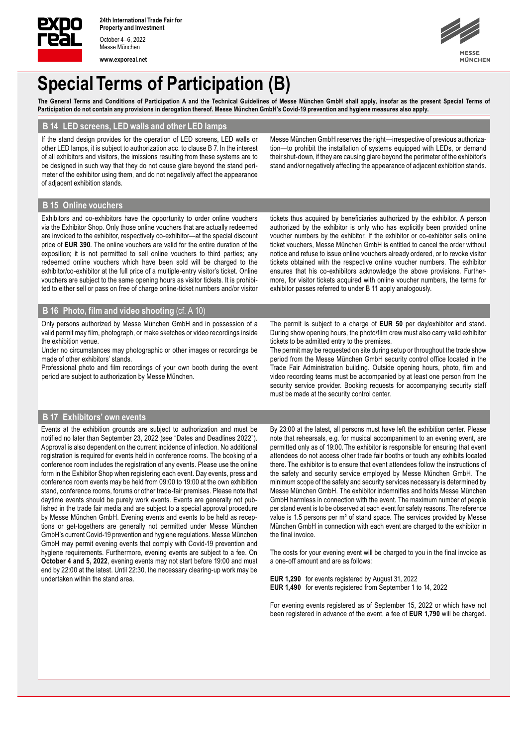

Messe München **www.exporeal.net**



# **Special Terms of Participation (B)**

The General Terms and Conditions of Participation A and the Technical Guidelines of Messe München GmbH shall apply, insofar as the present Special Terms of **Participation do not contain any provisions in derogation thereof. Messe München GmbH's Covid-19 prevention and hygiene measures also apply.**

# **B 14 LED screens, LED walls and other LED lamps**

If the stand design provides for the operation of LED screens, LED walls or other LED lamps, it is subject to authorization acc. to clause B 7. In the interest of all exhibitors and visitors, the imissions resulting from these systems are to be designed in such way that they do not cause glare beyond the stand perimeter of the exhibitor using them, and do not negatively affect the appearance of adjacent exhibition stands.

Messe München GmbH reserves the right—irrespective of previous authorization—to prohibit the installation of systems equipped with LEDs, or demand their shut-down, if they are causing glare beyond the perimeter of the exhibitor's stand and/or negatively affecting the appearance of adjacent exhibition stands.

# **B 15 Online vouchers**

Exhibitors and co-exhibitors have the opportunity to order online vouchers via the Exhibitor Shop. Only those online vouchers that are actually redeemed are invoiced to the exhibitor, respectively co-exhibitor—at the special discount price of **EUR 390**. The online vouchers are valid for the entire duration of the exposition; it is not permitted to sell online vouchers to third parties; any redeemed online vouchers which have been sold will be charged to the exhibitor/co-exhibitor at the full price of a multiple-entry visitor's ticket. Online vouchers are subject to the same opening hours as visitor tickets. It is prohibited to either sell or pass on free of charge online-ticket numbers and/or visitor

tickets thus acquired by beneficiaries authorized by the exhibitor. A person authorized by the exhibitor is only who has explicitly been provided online voucher numbers by the exhibitor. If the exhibitor or co-exhibitor sells online ticket vouchers, Messe München GmbH is entitled to cancel the order without notice and refuse to issue online vouchers already ordered, or to revoke visitor tickets obtained with the respective online voucher numbers. The exhibitor ensures that his co-exhibitors acknowledge the above provisions. Furthermore, for visitor tickets acquired with online voucher numbers, the terms for exhibitor passes referred to under B 11 apply analogously.

## **B 16 Photo, film and video shooting** (cf. A 10)

Only persons authorized by Messe München GmbH and in possession of a valid permit may film, photograph, or make sketches or video recordings inside the exhibition venue.

Under no circumstances may photographic or other images or recordings be made of other exhibitors' stands.

Professional photo and film recordings of your own booth during the event period are subject to authorization by Messe München.

The permit is subject to a charge of **EUR 50** per day/exhibitor and stand. During show opening hours, the photo/film crew must also carry valid exhibitor tickets to be admitted entry to the premises.

The permit may be requested on site during setup or throughout the trade show period from the Messe München GmbH security control office located in the Trade Fair Administration building. Outside opening hours, photo, film and video recording teams must be accompanied by at least one person from the security service provider. Booking requests for accompanying security staff must be made at the security control center.

## **B 17 Exhibitors' own events**

Events at the exhibition grounds are subject to authorization and must be notified no later than September 23, 2022 (see "Dates and Deadlines 2022"). Approval is also dependent on the current incidence of infection. No additional registration is required for events held in conference rooms. The booking of a conference room includes the registration of any events. Please use the online form in the Exhibitor Shop when registering each event. Day events, press and conference room events may be held from 09:00 to 19:00 at the own exhibition stand, conference rooms, forums or other trade-fair premises. Please note that daytime events should be purely work events. Events are generally not published in the trade fair media and are subject to a special approval procedure by Messe München GmbH. Evening events and events to be held as receptions or get-togethers are generally not permitted under Messe München GmbH's current Covid-19 prevention and hygiene regulations. Messe München GmbH may permit evening events that comply with Covid-19 prevention and hygiene requirements. Furthermore, evening events are subject to a fee. On **October 4 and 5, 2022**, evening events may not start before 19:00 and must end by 22:00 at the latest. Until 22:30, the necessary clearing-up work may be undertaken within the stand area.

By 23:00 at the latest, all persons must have left the exhibition center. Please note that rehearsals, e.g. for musical accompaniment to an evening event, are permitted only as of 19:00. The exhibitor is responsible for ensuring that event attendees do not access other trade fair booths or touch any exhibits located there. The exhibitor is to ensure that event attendees follow the instructions of the safety and security service employed by Messe München GmbH. The minimum scope of the safety and security services necessary is determined by Messe München GmbH. The exhibitor indemnifies and holds Messe München GmbH harmless in connection with the event. The maximum number of people per stand event is to be observed at each event for safety reasons. The reference value is 1.5 persons per m² of stand space. The services provided by Messe München GmbH in connection with each event are charged to the exhibitor in the final invoice.

The costs for your evening event will be charged to you in the final invoice as a one-off amount and are as follows:

**EUR 1,290** for events registered by August 31, 2022 **EUR 1,490** for events registered from September 1 to 14, 2022

For evening events registered as of September 15, 2022 or which have not been registered in advance of the event, a fee of **EUR 1,790** will be charged.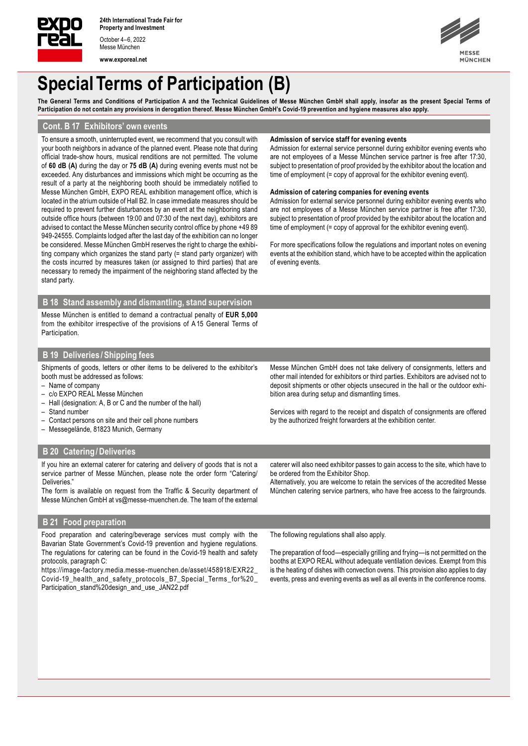

October 4–6, 2022 Messe München **www.exporeal.net** **IÜNCHEN** 

# **Special Terms of Participation (B)**

The General Terms and Conditions of Participation A and the Technical Guidelines of Messe München GmbH shall apply, insofar as the present Special Terms of **Participation do not contain any provisions in derogation thereof. Messe München GmbH's Covid-19 prevention and hygiene measures also apply.**

# **Cont. B 17 Exhibitors' own events**

To ensure a smooth, uninterrupted event, we recommend that you consult with your booth neighbors in advance of the planned event. Please note that during official trade-show hours, musical renditions are not permitted. The volume of **60 dB (A)** during the day or **75 dB (A)** during evening events must not be exceeded. Any disturbances and immissions which might be occurring as the result of a party at the neighboring booth should be immediately notified to Messe München GmbH, EXPO REAL exhibition management office, which is located in the atrium outside of Hall B2. In case immediate measures should be required to prevent further disturbances by an event at the neighboring stand outside office hours (between 19:00 and 07:30 of the next day), exhibitors are advised to contact the Messe München security control office by phone +49 89 949-24555. Complaints lodged after the last day of the exhibition can no longer be considered. Messe München GmbH reserves the right to charge the exhibiting company which organizes the stand party (= stand party organizer) with the costs incurred by measures taken (or assigned to third parties) that are necessary to remedy the impairment of the neighboring stand affected by the stand party.

### **Admission of service staff for evening events**

Admission for external service personnel during exhibitor evening events who are not employees of a Messe München service partner is free after 17:30, subject to presentation of proof provided by the exhibitor about the location and time of employment (= copy of approval for the exhibitor evening event).

### **Admission of catering companies for evening events**

Admission for external service personnel during exhibitor evening events who are not employees of a Messe München service partner is free after 17:30, subject to presentation of proof provided by the exhibitor about the location and time of employment (= copy of approval for the exhibitor evening event).

For more specifications follow the regulations and important notes on evening events at the exhibition stand, which have to be accepted within the application of evening events.

### **B 18 Stand assembly and dismantling, stand supervision**

Messe München is entitled to demand a contractual penalty of **EUR 5,000**  from the exhibitor irrespective of the provisions of A 15 General Terms of Participation.

# **B 19 Deliveries /Shipping fees**

Shipments of goods, letters or other items to be delivered to the exhibitor's booth must be addressed as follows:

- Name of company
- c/o EXPO REAL Messe München
- Hall (designation: A, B or C and the number of the hall)
- Stand number
- Contact persons on site and their cell phone numbers
- Messegelände, 81823 Munich, Germany

# **B 20 Catering/Deliveries**

If you hire an external caterer for catering and delivery of goods that is not a service partner of Messe München, please note the order form "Catering/ **Deliveries** 

The form is available on request from the Traffic & Security department of Messe München GmbH at vs@messe-muenchen.de. The team of the external Messe München GmbH does not take delivery of consignments, letters and other mail intended for exhibitors or third parties. Exhibitors are advised not to deposit shipments or other objects unsecured in the hall or the outdoor exhibition area during setup and dismantling times.

Services with regard to the receipt and dispatch of consignments are offered by the authorized freight forwarders at the exhibition center.

caterer will also need exhibitor passes to gain access to the site, which have to be ordered from the Exhibitor Shop.

Alternatively, you are welcome to retain the services of the accredited Messe München catering service partners, who have free access to the fairgrounds.

## **B 21 Food preparation**

Food preparation and catering/beverage services must comply with the Bavarian State Government's Covid-19 prevention and hygiene regulations. The regulations for catering can be found in the Covid-19 health and safety protocols, paragraph C:

https://image-factory.media.messe-muenchen.de/asset/458918/EXR22\_ Covid-19\_health\_and\_safety\_protocols\_B7\_Special\_Terms\_for%20\_ Participation\_stand%20design\_and\_use\_JAN22.pdf

The following regulations shall also apply.

The preparation of food—especially grilling and frying—is not permitted on the booths at EXPO REAL without adequate ventilation devices. Exempt from this is the heating of dishes with convection ovens. This provision also applies to day events, press and evening events as well as all events in the conference rooms.